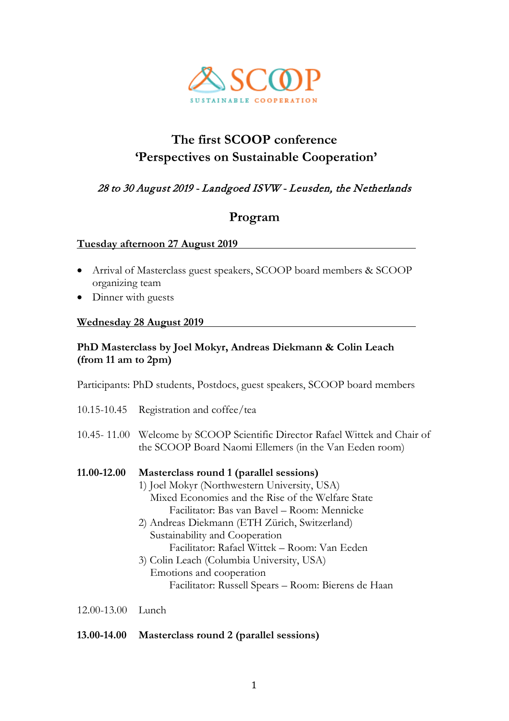

# **The first SCOOP conference 'Perspectives on Sustainable Cooperation'**

# 28 to 30 August 2019 - Landgoed ISVW - Leusden, the Netherlands

# **Program**

### **Tuesday afternoon 27 August 2019**

- Arrival of Masterclass guest speakers, SCOOP board members & SCOOP organizing team
- Dinner with guests

## **Wednesday 28 August 2019**

## **PhD Masterclass by Joel Mokyr, Andreas Diekmann & Colin Leach (from 11 am to 2pm)**

Participants: PhD students, Postdocs, guest speakers, SCOOP board members

- 10.15-10.45 Registration and coffee/tea
- 10.45- 11.00 Welcome by SCOOP Scientific Director Rafael Wittek and Chair of the SCOOP Board Naomi Ellemers (in the Van Eeden room)

## **11.00-12.00 Masterclass round 1 (parallel sessions)**

- 1) Joel Mokyr (Northwestern University, USA) Mixed Economies and the Rise of the Welfare State Facilitator: Bas van Bavel – Room: Mennicke
- 2) Andreas Diekmann (ETH Zürich, Switzerland) Sustainability and Cooperation Facilitator: Rafael Wittek – Room: Van Eeden
- 3) Colin Leach (Columbia University, USA) Emotions and cooperation Facilitator: Russell Spears – Room: Bierens de Haan

12.00-13.00 Lunch

## **13.00-14.00 Masterclass round 2 (parallel sessions)**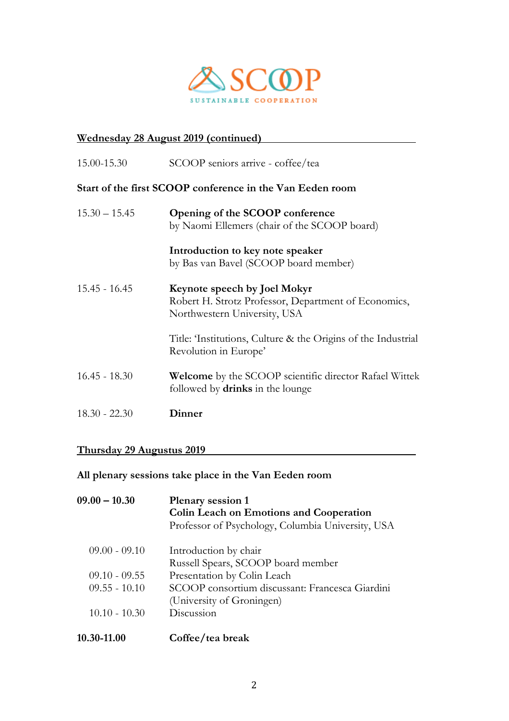

# **Wednesday 28 August 2019 (continued)**

| 15.00-15.30     | SCOOP seniors arrive - coffee/tea                                                                                           |
|-----------------|-----------------------------------------------------------------------------------------------------------------------------|
|                 | Start of the first SCOOP conference in the Van Eeden room                                                                   |
| $15.30 - 15.45$ | Opening of the SCOOP conference<br>by Naomi Ellemers (chair of the SCOOP board)                                             |
|                 | Introduction to key note speaker<br>by Bas van Bavel (SCOOP board member)                                                   |
| $15.45 - 16.45$ | <b>Keynote speech by Joel Mokyr</b><br>Robert H. Strotz Professor, Department of Economics,<br>Northwestern University, USA |
|                 | Title: Institutions, Culture & the Origins of the Industrial<br>Revolution in Europe'                                       |
| $16.45 - 18.30$ | <b>Welcome</b> by the SCOOP scientific director Rafael Wittek<br>followed by <b>drinks</b> in the lounge                    |
| $18.30 - 22.30$ | Dinner                                                                                                                      |

# **Thursday 29 Augustus 2019**

# **All plenary sessions take place in the Van Eeden room**

| $09.00 - 10.30$ | <b>Plenary session 1</b><br><b>Colin Leach on Emotions and Cooperation</b><br>Professor of Psychology, Columbia University, USA |
|-----------------|---------------------------------------------------------------------------------------------------------------------------------|
| $09.00 - 09.10$ | Introduction by chair                                                                                                           |
|                 | Russell Spears, SCOOP board member                                                                                              |
| $09.10 - 09.55$ | Presentation by Colin Leach                                                                                                     |
| $09.55 - 10.10$ | SCOOP consortium discussant: Francesca Giardini                                                                                 |
|                 | (University of Groningen)                                                                                                       |
| $10.10 - 10.30$ | Discussion                                                                                                                      |
| 10.30-11.00     | Coffee/tea break                                                                                                                |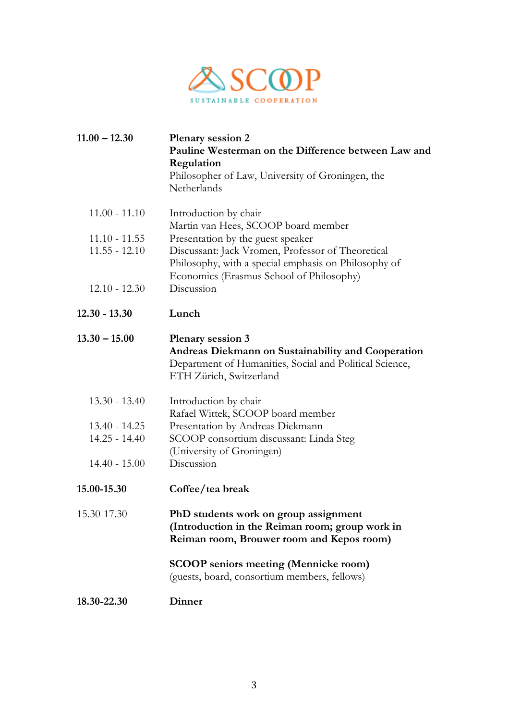

| $11.00 - 12.30$                    | <b>Plenary session 2</b><br>Pauline Westerman on the Difference between Law and<br>Regulation<br>Philosopher of Law, University of Groningen, the<br><b>Netherlands</b>               |
|------------------------------------|---------------------------------------------------------------------------------------------------------------------------------------------------------------------------------------|
| $11.00 - 11.10$                    | Introduction by chair                                                                                                                                                                 |
| $11.10 - 11.55$<br>$11.55 - 12.10$ | Martin van Hees, SCOOP board member<br>Presentation by the guest speaker<br>Discussant: Jack Vromen, Professor of Theoretical<br>Philosophy, with a special emphasis on Philosophy of |
| $12.10 - 12.30$                    | Economics (Erasmus School of Philosophy)<br>Discussion                                                                                                                                |
| $12.30 - 13.30$                    | Lunch                                                                                                                                                                                 |
| $13.30 - 15.00$                    | <b>Plenary session 3</b><br>Andreas Diekmann on Sustainability and Cooperation<br>Department of Humanities, Social and Political Science,<br>ETH Zürich, Switzerland                  |
| $13.30 - 13.40$                    | Introduction by chair<br>Rafael Wittek, SCOOP board member                                                                                                                            |
| $13.40 - 14.25$<br>$14.25 - 14.40$ | Presentation by Andreas Diekmann<br>SCOOP consortium discussant: Linda Steg                                                                                                           |
| $14.40 - 15.00$                    | (University of Groningen)<br>Discussion                                                                                                                                               |
| 15.00-15.30                        | Coffee/tea break                                                                                                                                                                      |
| 15.30-17.30                        | PhD students work on group assignment<br>(Introduction in the Reiman room; group work in<br>Reiman room, Brouwer room and Kepos room)                                                 |
|                                    | <b>SCOOP</b> seniors meeting (Mennicke room)<br>(guests, board, consortium members, fellows)                                                                                          |
| 18.30-22.30                        | Dinner                                                                                                                                                                                |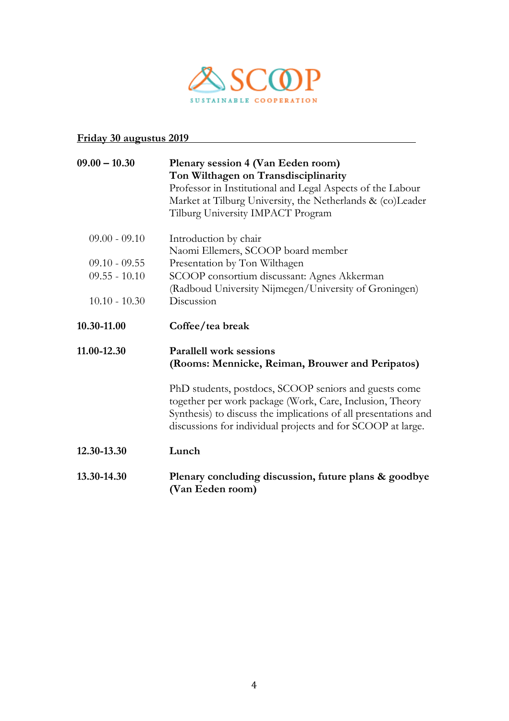

# **Friday 30 augustus 2019**

| $09.00 - 10.30$ | Plenary session 4 (Van Eeden room)<br>Ton Wilthagen on Transdisciplinarity<br>Professor in Institutional and Legal Aspects of the Labour<br>Market at Tilburg University, the Netherlands & (co)Leader<br>Tilburg University IMPACT Program         |
|-----------------|-----------------------------------------------------------------------------------------------------------------------------------------------------------------------------------------------------------------------------------------------------|
| $09.00 - 09.10$ | Introduction by chair                                                                                                                                                                                                                               |
|                 | Naomi Ellemers, SCOOP board member                                                                                                                                                                                                                  |
| $09.10 - 09.55$ | Presentation by Ton Wilthagen                                                                                                                                                                                                                       |
| $09.55 - 10.10$ | SCOOP consortium discussant: Agnes Akkerman                                                                                                                                                                                                         |
| $10.10 - 10.30$ | (Radboud University Nijmegen/University of Groningen)<br>Discussion                                                                                                                                                                                 |
| 10.30-11.00     | Coffee/tea break                                                                                                                                                                                                                                    |
|                 |                                                                                                                                                                                                                                                     |
| 11.00-12.30     | <b>Parallell work sessions</b><br>(Rooms: Mennicke, Reiman, Brouwer and Peripatos)                                                                                                                                                                  |
|                 | PhD students, postdocs, SCOOP seniors and guests come<br>together per work package (Work, Care, Inclusion, Theory<br>Synthesis) to discuss the implications of all presentations and<br>discussions for individual projects and for SCOOP at large. |
| 12.30-13.30     | Lunch                                                                                                                                                                                                                                               |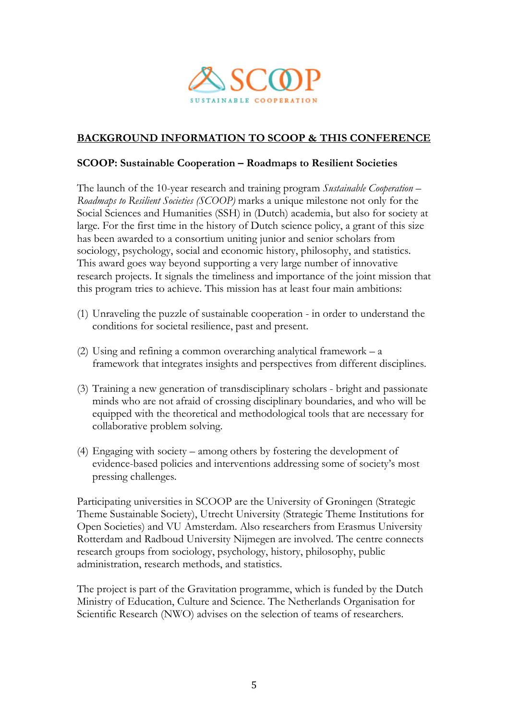

## **BACKGROUND INFORMATION TO SCOOP & THIS CONFERENCE**

#### **SCOOP: Sustainable Cooperation – Roadmaps to Resilient Societies**

The launch of the 10-year research and training program *Sustainable Cooperation – Roadmaps to Resilient Societies (SCOOP)* marks a unique milestone not only for the Social Sciences and Humanities (SSH) in (Dutch) academia, but also for society at large. For the first time in the history of Dutch science policy, a grant of this size has been awarded to a consortium uniting junior and senior scholars from sociology, psychology, social and economic history, philosophy, and statistics. This award goes way beyond supporting a very large number of innovative research projects. It signals the timeliness and importance of the joint mission that this program tries to achieve. This mission has at least four main ambitions:

- (1) Unraveling the puzzle of sustainable cooperation in order to understand the conditions for societal resilience, past and present.
- (2) Using and refining a common overarching analytical framework a framework that integrates insights and perspectives from different disciplines.
- (3) Training a new generation of transdisciplinary scholars bright and passionate minds who are not afraid of crossing disciplinary boundaries, and who will be equipped with the theoretical and methodological tools that are necessary for collaborative problem solving.
- (4) Engaging with society among others by fostering the development of evidence-based policies and interventions addressing some of society's most pressing challenges.

Participating universities in SCOOP are the University of Groningen (Strategic Theme Sustainable Society), Utrecht University (Strategic Theme Institutions for Open Societies) and VU Amsterdam. Also researchers from Erasmus University Rotterdam and Radboud University Nijmegen are involved. The centre connects research groups from sociology, psychology, history, philosophy, public administration, research methods, and statistics.

The project is part of the Gravitation programme, which is funded by the Dutch Ministry of Education, Culture and Science. The Netherlands Organisation for Scientific Research (NWO) advises on the selection of teams of researchers.